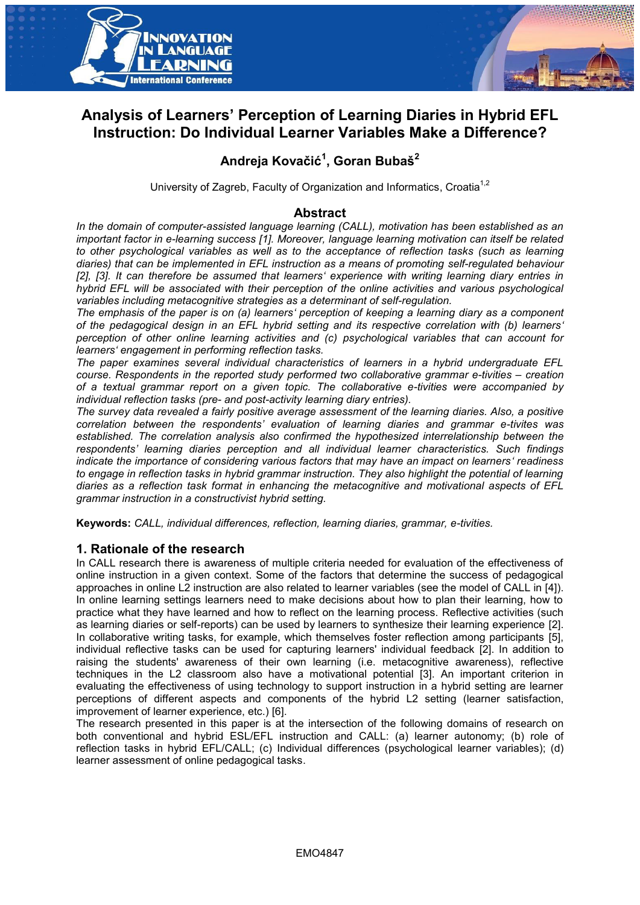



## **Analysis of Learners' Perception of Learning Diaries in Hybrid EFL Instruction: Do Individual Learner Variables Make a Difference?**

# **Andreja Kovačić<sup>1</sup> , Goran Bubaš<sup>2</sup>**

University of Zagreb, Faculty of Organization and Informatics, Croatia<sup>1,2</sup>

## **Abstract**

*In the domain of computer-assisted language learning (CALL), motivation has been established as an important factor in e-learning success [1]. Moreover, language learning motivation can itself be related to other psychological variables as well as to the acceptance of reflection tasks (such as learning diaries) that can be implemented in EFL instruction as a means of promoting self-regulated behaviour [2], [3]. It can therefore be assumed that learners' experience with writing learning diary entries in hybrid EFL will be associated with their perception of the online activities and various psychological variables including metacognitive strategies as a determinant of self-regulation.* 

*The emphasis of the paper is on (a) learners' perception of keeping a learning diary as a component of the pedagogical design in an EFL hybrid setting and its respective correlation with (b) learners' perception of other online learning activities and (c) psychological variables that can account for learners' engagement in performing reflection tasks.* 

*The paper examines several individual characteristics of learners in a hybrid undergraduate EFL course. Respondents in the reported study performed two collaborative grammar e-tivities – creation of a textual grammar report on a given topic. The collaborative e-tivities were accompanied by individual reflection tasks (pre- and post-activity learning diary entries).* 

*The survey data revealed a fairly positive average assessment of the learning diaries. Also, a positive correlation between the respondents' evaluation of learning diaries and grammar e-tivites was established. The correlation analysis also confirmed the hypothesized interrelationship between the respondents' learning diaries perception and all individual learner characteristics. Such findings indicate the importance of considering various factors that may have an impact on learners' readiness to engage in reflection tasks in hybrid grammar instruction. They also highlight the potential of learning diaries as a reflection task format in enhancing the metacognitive and motivational aspects of EFL grammar instruction in a constructivist hybrid setting.* 

**Keywords:** *CALL, individual differences, reflection, learning diaries, grammar, e-tivities.* 

### **1. Rationale of the research**

In CALL research there is awareness of multiple criteria needed for evaluation of the effectiveness of online instruction in a given context. Some of the factors that determine the success of pedagogical approaches in online L2 instruction are also related to learner variables (see the model of CALL in [4]). In online learning settings learners need to make decisions about how to plan their learning, how to practice what they have learned and how to reflect on the learning process. Reflective activities (such as learning diaries or self-reports) can be used by learners to synthesize their learning experience [2]. In collaborative writing tasks, for example, which themselves foster reflection among participants [5], individual reflective tasks can be used for capturing learners' individual feedback [2]. In addition to raising the students' awareness of their own learning (i.e. metacognitive awareness), reflective techniques in the L2 classroom also have a motivational potential [3]. An important criterion in evaluating the effectiveness of using technology to support instruction in a hybrid setting are learner perceptions of different aspects and components of the hybrid L2 setting (learner satisfaction, improvement of learner experience, etc.) [6].

The research presented in this paper is at the intersection of the following domains of research on both conventional and hybrid ESL/EFL instruction and CALL: (a) learner autonomy; (b) role of reflection tasks in hybrid EFL/CALL; (c) Individual differences (psychological learner variables); (d) learner assessment of online pedagogical tasks.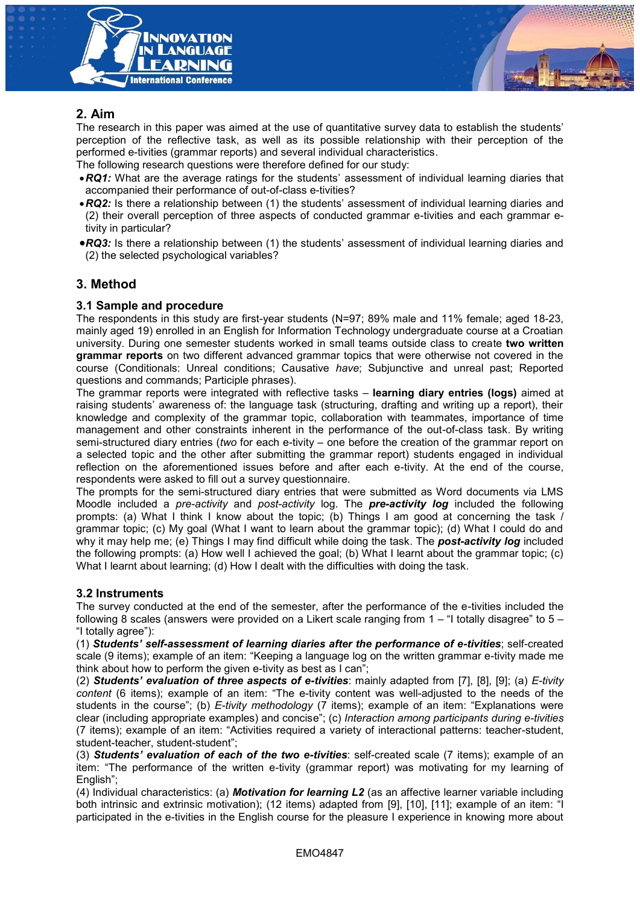

## **2. Aim**

The research in this paper was aimed at the use of quantitative survey data to establish the students' perception of the reflective task, as well as its possible relationship with their perception of the performed e-tivities (grammar reports) and several individual characteristics.

- The following research questions were therefore defined for our study:
- *RQ1:* What are the average ratings for the students' assessment of individual learning diaries that accompanied their performance of out-of-class e-tivities?
- *RQ2:* Is there a relationship between (1) the students' assessment of individual learning diaries and (2) their overall perception of three aspects of conducted grammar e-tivities and each grammar etivity in particular?
- *RQ3:* Is there a relationship between (1) the students' assessment of individual learning diaries and (2) the selected psychological variables?

## **3. Method**

#### **3.1 Sample and procedure**

The respondents in this study are first-year students (N=97; 89% male and 11% female; aged 18-23, mainly aged 19) enrolled in an English for Information Technology undergraduate course at a Croatian university. During one semester students worked in small teams outside class to create **two written grammar reports** on two different advanced grammar topics that were otherwise not covered in the course (Conditionals: Unreal conditions; Causative *have*; Subjunctive and unreal past; Reported questions and commands; Participle phrases).

The grammar reports were integrated with reflective tasks – **learning diary entries (logs)** aimed at raising students' awareness of: the language task (structuring, drafting and writing up a report), their knowledge and complexity of the grammar topic, collaboration with teammates, importance of time management and other constraints inherent in the performance of the out-of-class task. By writing semi-structured diary entries (*two* for each e-tivity – one before the creation of the grammar report on a selected topic and the other after submitting the grammar report) students engaged in individual reflection on the aforementioned issues before and after each e-tivity. At the end of the course, respondents were asked to fill out a survey questionnaire.

The prompts for the semi-structured diary entries that were submitted as Word documents via LMS Moodle included a *pre-activity* and *post-activity* log. The *pre-activity log* included the following prompts: (a) What I think I know about the topic; (b) Things I am good at concerning the task / grammar topic; (c) My goal (What I want to learn about the grammar topic); (d) What I could do and why it may help me; (e) Things I may find difficult while doing the task. The *post-activity log* included the following prompts: (a) How well I achieved the goal; (b) What I learnt about the grammar topic; (c) What I learnt about learning; (d) How I dealt with the difficulties with doing the task.

#### **3.2 Instruments**

The survey conducted at the end of the semester, after the performance of the e-tivities included the following 8 scales (answers were provided on a Likert scale ranging from 1 – "I totally disagree" to 5 – "I totally agree"):

(1) *Students' self-assessment of learning diaries after the performance of e-tivities*; self-created scale (9 items); example of an item: "Keeping a language log on the written grammar e-tivity made me think about how to perform the given e-tivity as best as I can";

(2) *Students' evaluation of three aspects of e-tivities*: mainly adapted from [7], [8], [9]; (a) *E-tivity content* (6 items); example of an item: "The e-tivity content was well-adjusted to the needs of the students in the course"; (b) *E-tivity methodology* (7 items); example of an item: "Explanations were clear (including appropriate examples) and concise"; (c) *Interaction among participants during e-tivities* (7 items); example of an item: "Activities required a variety of interactional patterns: teacher-student, student-teacher, student-student";

(3) *Students' evaluation of each of the two e-tivities*: self-created scale (7 items); example of an item: "The performance of the written e-tivity (grammar report) was motivating for my learning of English";

(4) Individual characteristics: (a) *Motivation for learning L2* (as an affective learner variable including both intrinsic and extrinsic motivation); (12 items) adapted from [9], [10], [11]; example of an item: "I participated in the e-tivities in the English course for the pleasure I experience in knowing more about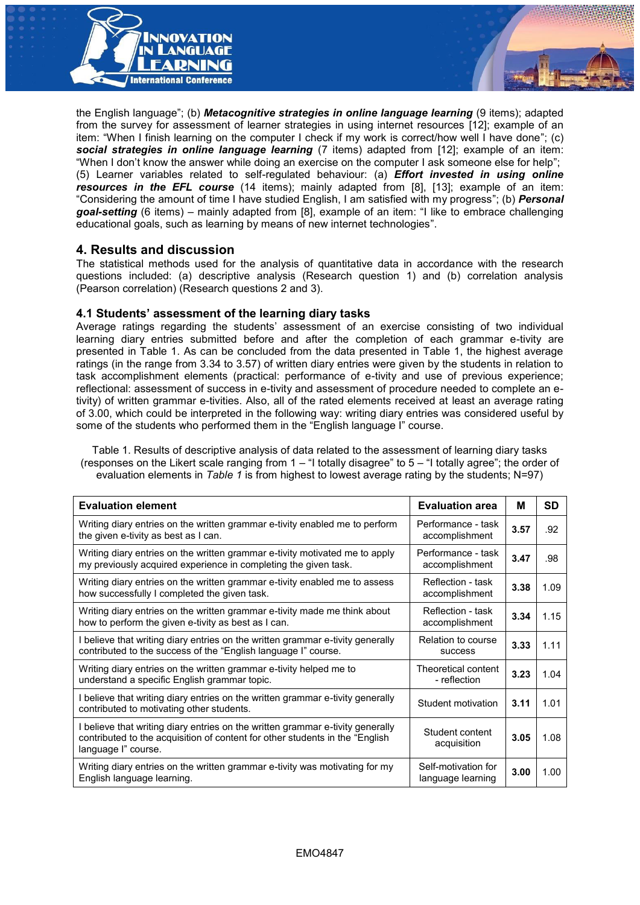

the English language"; (b) *Metacognitive strategies in online language learning* (9 items); adapted from the survey for assessment of learner strategies in using internet resources [12]; example of an item: "When I finish learning on the computer I check if my work is correct/how well I have done"; (c) *social strategies in online language learning* (7 items) adapted from [12]; example of an item: "When I don't know the answer while doing an exercise on the computer I ask someone else for help"; (5) Learner variables related to self-regulated behaviour: (a) *Effort invested in using online resources in the EFL course* (14 items); mainly adapted from [8], [13]; example of an item: "Considering the amount of time I have studied English, I am satisfied with my progress"; (b) *Personal goal-setting* (6 items) – mainly adapted from [8], example of an item: "I like to embrace challenging educational goals, such as learning by means of new internet technologies".

#### **4. Results and discussion**

The statistical methods used for the analysis of quantitative data in accordance with the research questions included: (a) descriptive analysis (Research question 1) and (b) correlation analysis (Pearson correlation) (Research questions 2 and 3).

#### **4.1 Students' assessment of the learning diary tasks**

Average ratings regarding the students' assessment of an exercise consisting of two individual learning diary entries submitted before and after the completion of each grammar e-tivity are presented in Table 1. As can be concluded from the data presented in Table 1, the highest average ratings (in the range from 3.34 to 3.57) of written diary entries were given by the students in relation to task accomplishment elements (practical: performance of e-tivity and use of previous experience; reflectional: assessment of success in e-tivity and assessment of procedure needed to complete an etivity) of written grammar e-tivities. Also, all of the rated elements received at least an average rating of 3.00, which could be interpreted in the following way: writing diary entries was considered useful by some of the students who performed them in the "English language I" course.

Table 1. Results of descriptive analysis of data related to the assessment of learning diary tasks (responses on the Likert scale ranging from 1 – "I totally disagree" to 5 – "I totally agree"; the order of evaluation elements in *Table 1* is from highest to lowest average rating by the students; N=97)

| <b>Evaluation element</b>                                                                                                                                                              | <b>Evaluation area</b>                   | м    | SD   |
|----------------------------------------------------------------------------------------------------------------------------------------------------------------------------------------|------------------------------------------|------|------|
| Writing diary entries on the written grammar e-tivity enabled me to perform<br>the given e-tivity as best as I can.                                                                    | Performance - task<br>accomplishment     | 3.57 | .92  |
| Writing diary entries on the written grammar e-tivity motivated me to apply<br>my previously acquired experience in completing the given task.                                         | Performance - task<br>accomplishment     | 3.47 | .98  |
| Writing diary entries on the written grammar e-tivity enabled me to assess<br>how successfully I completed the given task.                                                             | Reflection - task<br>accomplishment      | 3.38 | 1.09 |
| Writing diary entries on the written grammar e-tivity made me think about<br>how to perform the given e-tivity as best as I can.                                                       | Reflection - task<br>accomplishment      | 3.34 | 1.15 |
| I believe that writing diary entries on the written grammar e-tivity generally<br>contributed to the success of the "English language I" course.                                       | Relation to course<br><b>SUCCESS</b>     | 3.33 | 1.11 |
| Writing diary entries on the written grammar e-tivity helped me to<br>understand a specific English grammar topic.                                                                     | Theoretical content<br>- reflection      | 3.23 | 1.04 |
| I believe that writing diary entries on the written grammar e-tivity generally<br>contributed to motivating other students.                                                            | Student motivation                       | 3.11 | 1.01 |
| I believe that writing diary entries on the written grammar e-tivity generally<br>contributed to the acquisition of content for other students in the "English"<br>language l" course. | Student content<br>acquisition           | 3.05 | 1.08 |
| Writing diary entries on the written grammar e-tivity was motivating for my<br>English language learning.                                                                              | Self-motivation for<br>language learning | 3.00 | 1.00 |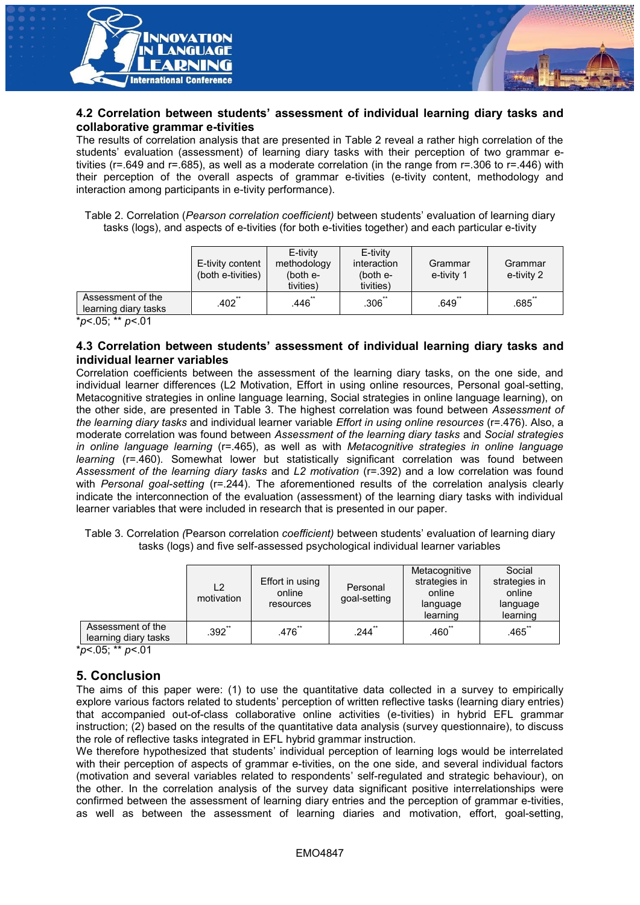![](_page_3_Picture_0.jpeg)

#### **4.2 Correlation between students' assessment of individual learning diary tasks and collaborative grammar e-tivities**

The results of correlation analysis that are presented in Table 2 reveal a rather high correlation of the students' evaluation (assessment) of learning diary tasks with their perception of two grammar etivities (r=.649 and r=.685), as well as a moderate correlation (in the range from r=.306 to r=.446) with their perception of the overall aspects of grammar e-tivities (e-tivity content, methodology and interaction among participants in e-tivity performance).

Table 2. Correlation (*Pearson correlation coefficient)* between students' evaluation of learning diary tasks (logs), and aspects of e-tivities (for both e-tivities together) and each particular e-tivity

|                                                                       | E-tivity content<br>(both e-tivities) | E-tivity<br>methodology<br>(both $e-$<br>tivities) | E-tivity<br>interaction<br>(both $e$ -<br>tivities) | Grammar<br>e-tivity 1 | Grammar<br>e-tivity 2 |
|-----------------------------------------------------------------------|---------------------------------------|----------------------------------------------------|-----------------------------------------------------|-----------------------|-----------------------|
| Assessment of the<br>learning diary tasks                             | $.402$ **                             | $.446$ **                                          | $.306$ **                                           | $.649$ <sub>**</sub>  | $.685$ "              |
| $*_{n}$ $\wedge$ $\overline{0}$ . $**_{n}$ $\wedge$ $\wedge$ $\wedge$ |                                       |                                                    |                                                     |                       |                       |

\**p*<.05; \*\* *p*<.01

#### **4.3 Correlation between students' assessment of individual learning diary tasks and individual learner variables**

Correlation coefficients between the assessment of the learning diary tasks, on the one side, and individual learner differences (L2 Motivation, Effort in using online resources, Personal goal-setting, Metacognitive strategies in online language learning, Social strategies in online language learning), on the other side, are presented in Table 3. The highest correlation was found between *Assessment of the learning diary tasks* and individual learner variable *Effort in using online resources* (r=.476). Also, a moderate correlation was found between *Assessment of the learning diary tasks* and *Social strategies in online language learning* (r=.465), as well as with *Metacognitive strategies in online language learning* (r=.460). Somewhat lower but statistically significant correlation was found between *Assessment of the learning diary tasks* and *L2 motivation* (r=.392) and a low correlation was found with *Personal goal-setting* (r=.244). The aforementioned results of the correlation analysis clearly indicate the interconnection of the evaluation (assessment) of the learning diary tasks with individual learner variables that were included in research that is presented in our paper.

Table 3. Correlation *(*Pearson correlation *coefficient)* between students' evaluation of learning diary tasks (logs) and five self-assessed psychological individual learner variables

|                                           | L2<br>motivation | Effort in using<br>online<br>resources | Personal<br>goal-setting | Metacognitive<br>strategies in<br>online<br>language<br>learning | Social<br>strategies in<br>online<br>language<br>learning |
|-------------------------------------------|------------------|----------------------------------------|--------------------------|------------------------------------------------------------------|-----------------------------------------------------------|
| Assessment of the<br>learning diary tasks | $.392$ **        | $.476$ **                              | $.244$ **                | $.460$ **                                                        | $.465$ **                                                 |

\**p*<.05; \*\* *p*<.01

### **5. Conclusion**

The aims of this paper were: (1) to use the quantitative data collected in a survey to empirically explore various factors related to students' perception of written reflective tasks (learning diary entries) that accompanied out-of-class collaborative online activities (e-tivities) in hybrid EFL grammar instruction; (2) based on the results of the quantitative data analysis (survey questionnaire), to discuss the role of reflective tasks integrated in EFL hybrid grammar instruction.

We therefore hypothesized that students' individual perception of learning logs would be interrelated with their perception of aspects of grammar e-tivities, on the one side, and several individual factors (motivation and several variables related to respondents' self-regulated and strategic behaviour), on the other. In the correlation analysis of the survey data significant positive interrelationships were confirmed between the assessment of learning diary entries and the perception of grammar e-tivities, as well as between the assessment of learning diaries and motivation, effort, goal-setting,